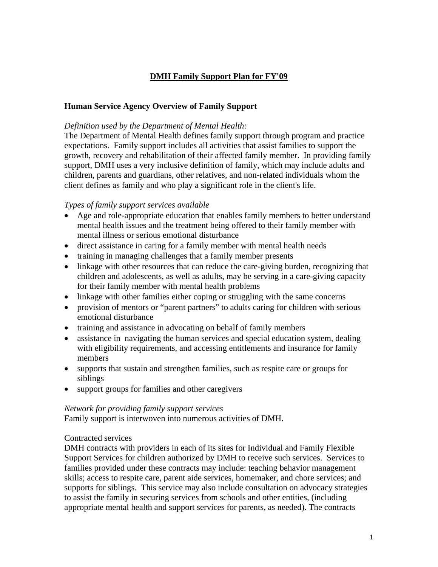# **DMH Family Support Plan for FY'09**

#### **Human Service Agency Overview of Family Support**

#### *Definition used by the Department of Mental Health:*

The Department of Mental Health defines family support through program and practice expectations. Family support includes all activities that assist families to support the growth, recovery and rehabilitation of their affected family member. In providing family support, DMH uses a very inclusive definition of family, which may include adults and children, parents and guardians, other relatives, and non-related individuals whom the client defines as family and who play a significant role in the client's life.

#### *Types of family support services available*

- Age and role-appropriate education that enables family members to better understand mental health issues and the treatment being offered to their family member with mental illness or serious emotional disturbance
- direct assistance in caring for a family member with mental health needs
- training in managing challenges that a family member presents
- linkage with other resources that can reduce the care-giving burden, recognizing that children and adolescents, as well as adults, may be serving in a care-giving capacity for their family member with mental health problems
- linkage with other families either coping or struggling with the same concerns
- provision of mentors or "parent partners" to adults caring for children with serious emotional disturbance
- training and assistance in advocating on behalf of family members
- assistance in navigating the human services and special education system, dealing with eligibility requirements, and accessing entitlements and insurance for family members
- supports that sustain and strengthen families, such as respite care or groups for siblings
- support groups for families and other caregivers

#### *Network for providing family support services*

Family support is interwoven into numerous activities of DMH.

#### Contracted services

DMH contracts with providers in each of its sites for Individual and Family Flexible Support Services for children authorized by DMH to receive such services. Services to families provided under these contracts may include: teaching behavior management skills; access to respite care, parent aide services, homemaker, and chore services; and supports for siblings. This service may also include consultation on advocacy strategies to assist the family in securing services from schools and other entities, (including appropriate mental health and support services for parents, as needed). The contracts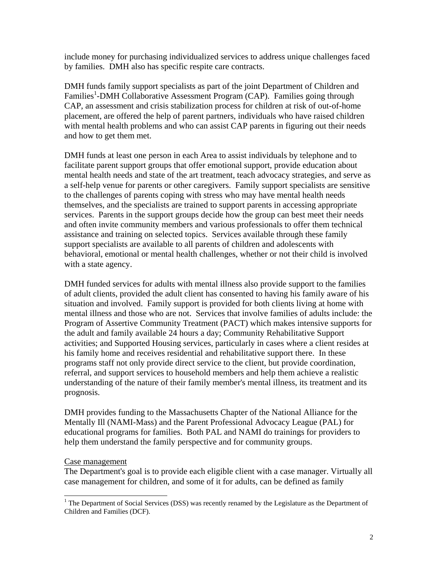include money for purchasing individualized services to address unique challenges faced by families. DMH also has specific respite care contracts.

DMH funds family support specialists as part of the joint Department of Children and Families<sup>[1](#page-1-0)</sup>-DMH Collaborative Assessment Program (CAP). Families going through CAP, an assessment and crisis stabilization process for children at risk of out-of-home placement, are offered the help of parent partners, individuals who have raised children with mental health problems and who can assist CAP parents in figuring out their needs and how to get them met.

DMH funds at least one person in each Area to assist individuals by telephone and to facilitate parent support groups that offer emotional support, provide education about mental health needs and state of the art treatment, teach advocacy strategies, and serve as a self-help venue for parents or other caregivers. Family support specialists are sensitive to the challenges of parents coping with stress who may have mental health needs themselves, and the specialists are trained to support parents in accessing appropriate services. Parents in the support groups decide how the group can best meet their needs and often invite community members and various professionals to offer them technical assistance and training on selected topics. Services available through these family support specialists are available to all parents of children and adolescents with behavioral, emotional or mental health challenges, whether or not their child is involved with a state agency.

DMH funded services for adults with mental illness also provide support to the families of adult clients, provided the adult client has consented to having his family aware of his situation and involved. Family support is provided for both clients living at home with mental illness and those who are not. Services that involve families of adults include: the Program of Assertive Community Treatment (PACT) which makes intensive supports for the adult and family available 24 hours a day; Community Rehabilitative Support activities; and Supported Housing services, particularly in cases where a client resides at his family home and receives residential and rehabilitative support there. In these programs staff not only provide direct service to the client, but provide coordination, referral, and support services to household members and help them achieve a realistic understanding of the nature of their family member's mental illness, its treatment and its prognosis.

DMH provides funding to the Massachusetts Chapter of the National Alliance for the Mentally Ill (NAMI-Mass) and the Parent Professional Advocacy League (PAL) for educational programs for families. Both PAL and NAMI do trainings for providers to help them understand the family perspective and for community groups.

#### Case management

The Department's goal is to provide each eligible client with a case manager. Virtually all case management for children, and some of it for adults, can be defined as family

<span id="page-1-0"></span> $\frac{1}{1}$ <sup>1</sup> The Department of Social Services (DSS) was recently renamed by the Legislature as the Department of Children and Families (DCF).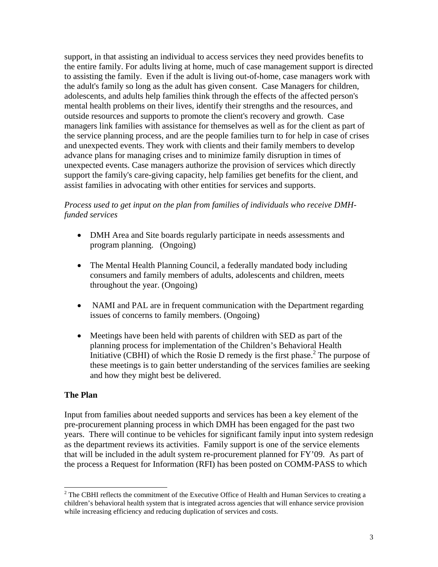support, in that assisting an individual to access services they need provides benefits to the entire family. For adults living at home, much of case management support is directed to assisting the family. Even if the adult is living out-of-home, case managers work with the adult's family so long as the adult has given consent. Case Managers for children, adolescents, and adults help families think through the effects of the affected person's mental health problems on their lives, identify their strengths and the resources, and outside resources and supports to promote the client's recovery and growth. Case managers link families with assistance for themselves as well as for the client as part of the service planning process, and are the people families turn to for help in case of crises and unexpected events. They work with clients and their family members to develop advance plans for managing crises and to minimize family disruption in times of unexpected events. Case managers authorize the provision of services which directly support the family's care-giving capacity, help families get benefits for the client, and assist families in advocating with other entities for services and supports.

### *Process used to get input on the plan from families of individuals who receive DMHfunded services*

- DMH Area and Site boards regularly participate in needs assessments and program planning. (Ongoing)
- The Mental Health Planning Council, a federally mandated body including consumers and family members of adults, adolescents and children, meets throughout the year. (Ongoing)
- NAMI and PAL are in frequent communication with the Department regarding issues of concerns to family members. (Ongoing)
- Meetings have been held with parents of children with SED as part of the planning process for implementation of the Children's Behavioral Health Initiative (CBHI) of which the Rosie D remedy is the first phase.<sup>[2](#page-2-0)</sup> The purpose of these meetings is to gain better understanding of the services families are seeking and how they might best be delivered.

#### **The Plan**

Input from families about needed supports and services has been a key element of the pre-procurement planning process in which DMH has been engaged for the past two years. There will continue to be vehicles for significant family input into system redesign as the department reviews its activities. Family support is one of the service elements that will be included in the adult system re-procurement planned for FY'09. As part of the process a Request for Information (RFI) has been posted on COMM-PASS to which

<span id="page-2-0"></span><sup>&</sup>lt;sup>2</sup>  $2$  The CBHI reflects the commitment of the Executive Office of Health and Human Services to creating a children's behavioral health system that is integrated across agencies that will enhance service provision while increasing efficiency and reducing duplication of services and costs.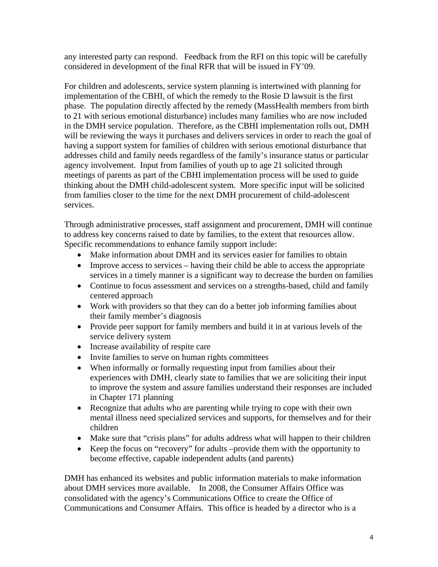any interested party can respond. Feedback from the RFI on this topic will be carefully considered in development of the final RFR that will be issued in FY'09.

For children and adolescents, service system planning is intertwined with planning for implementation of the CBHI, of which the remedy to the Rosie D lawsuit is the first phase. The population directly affected by the remedy (MassHealth members from birth to 21 with serious emotional disturbance) includes many families who are now included in the DMH service population. Therefore, as the CBHI implementation rolls out, DMH will be reviewing the ways it purchases and delivers services in order to reach the goal of having a support system for families of children with serious emotional disturbance that addresses child and family needs regardless of the family's insurance status or particular agency involvement. Input from families of youth up to age 21 solicited through meetings of parents as part of the CBHI implementation process will be used to guide thinking about the DMH child-adolescent system. More specific input will be solicited from families closer to the time for the next DMH procurement of child-adolescent services.

Through administrative processes, staff assignment and procurement, DMH will continue to address key concerns raised to date by families, to the extent that resources allow. Specific recommendations to enhance family support include:

- Make information about DMH and its services easier for families to obtain
- Improve access to services having their child be able to access the appropriate services in a timely manner is a significant way to decrease the burden on families
- Continue to focus assessment and services on a strengths-based, child and family centered approach
- Work with providers so that they can do a better job informing families about their family member's diagnosis
- Provide peer support for family members and build it in at various levels of the service delivery system
- Increase availability of respite care
- Invite families to serve on human rights committees
- When informally or formally requesting input from families about their experiences with DMH, clearly state to families that we are soliciting their input to improve the system and assure families understand their responses are included in Chapter 171 planning
- Recognize that adults who are parenting while trying to cope with their own mental illness need specialized services and supports, for themselves and for their children
- Make sure that "crisis plans" for adults address what will happen to their children
- Keep the focus on "recovery" for adults –provide them with the opportunity to become effective, capable independent adults (and parents)

DMH has enhanced its websites and public information materials to make information about DMH services more available. In 2008, the Consumer Affairs Office was consolidated with the agency's Communications Office to create the Office of Communications and Consumer Affairs. This office is headed by a director who is a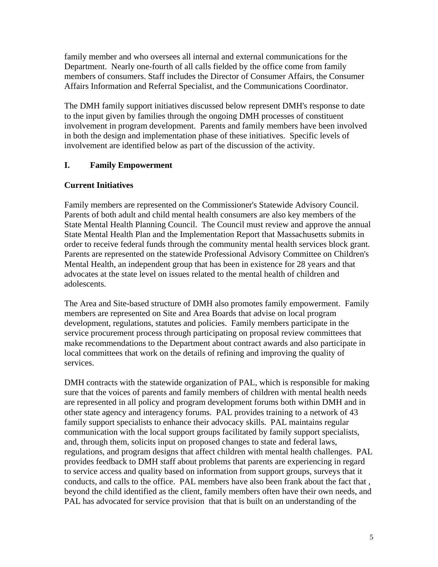family member and who oversees all internal and external communications for the Department. Nearly one-fourth of all calls fielded by the office come from family members of consumers. Staff includes the Director of Consumer Affairs, the Consumer Affairs Information and Referral Specialist, and the Communications Coordinator.

The DMH family support initiatives discussed below represent DMH's response to date to the input given by families through the ongoing DMH processes of constituent involvement in program development. Parents and family members have been involved in both the design and implementation phase of these initiatives. Specific levels of involvement are identified below as part of the discussion of the activity.

## **I. Family Empowerment**

## **Current Initiatives**

Family members are represented on the Commissioner's Statewide Advisory Council. Parents of both adult and child mental health consumers are also key members of the State Mental Health Planning Council. The Council must review and approve the annual State Mental Health Plan and the Implementation Report that Massachusetts submits in order to receive federal funds through the community mental health services block grant. Parents are represented on the statewide Professional Advisory Committee on Children's Mental Health, an independent group that has been in existence for 28 years and that advocates at the state level on issues related to the mental health of children and adolescents.

The Area and Site-based structure of DMH also promotes family empowerment. Family members are represented on Site and Area Boards that advise on local program development, regulations, statutes and policies. Family members participate in the service procurement process through participating on proposal review committees that make recommendations to the Department about contract awards and also participate in local committees that work on the details of refining and improving the quality of services.

DMH contracts with the statewide organization of PAL, which is responsible for making sure that the voices of parents and family members of children with mental health needs are represented in all policy and program development forums both within DMH and in other state agency and interagency forums. PAL provides training to a network of 43 family support specialists to enhance their advocacy skills. PAL maintains regular communication with the local support groups facilitated by family support specialists, and, through them, solicits input on proposed changes to state and federal laws, regulations, and program designs that affect children with mental health challenges. PAL provides feedback to DMH staff about problems that parents are experiencing in regard to service access and quality based on information from support groups, surveys that it conducts, and calls to the office. PAL members have also been frank about the fact that , beyond the child identified as the client, family members often have their own needs, and PAL has advocated for service provision that that is built on an understanding of the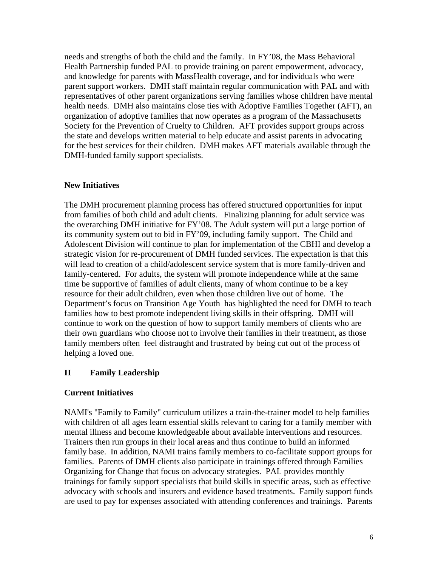needs and strengths of both the child and the family. In FY'08, the Mass Behavioral Health Partnership funded PAL to provide training on parent empowerment, advocacy, and knowledge for parents with MassHealth coverage, and for individuals who were parent support workers. DMH staff maintain regular communication with PAL and with representatives of other parent organizations serving families whose children have mental health needs. DMH also maintains close ties with Adoptive Families Together (AFT), an organization of adoptive families that now operates as a program of the Massachusetts Society for the Prevention of Cruelty to Children. AFT provides support groups across the state and develops written material to help educate and assist parents in advocating for the best services for their children. DMH makes AFT materials available through the DMH-funded family support specialists.

## **New Initiatives**

The DMH procurement planning process has offered structured opportunities for input from families of both child and adult clients. Finalizing planning for adult service was the overarching DMH initiative for FY'08. The Adult system will put a large portion of its community system out to bid in FY'09, including family support. The Child and Adolescent Division will continue to plan for implementation of the CBHI and develop a strategic vision for re-procurement of DMH funded services. The expectation is that this will lead to creation of a child/adolescent service system that is more family-driven and family-centered. For adults, the system will promote independence while at the same time be supportive of families of adult clients, many of whom continue to be a key resource for their adult children, even when those children live out of home. The Department's focus on Transition Age Youth has highlighted the need for DMH to teach families how to best promote independent living skills in their offspring. DMH will continue to work on the question of how to support family members of clients who are their own guardians who choose not to involve their families in their treatment, as those family members often feel distraught and frustrated by being cut out of the process of helping a loved one.

## **II Family Leadership**

## **Current Initiatives**

NAMI's "Family to Family" curriculum utilizes a train-the-trainer model to help families with children of all ages learn essential skills relevant to caring for a family member with mental illness and become knowledgeable about available interventions and resources. Trainers then run groups in their local areas and thus continue to build an informed family base. In addition, NAMI trains family members to co-facilitate support groups for families. Parents of DMH clients also participate in trainings offered through Families Organizing for Change that focus on advocacy strategies. PAL provides monthly trainings for family support specialists that build skills in specific areas, such as effective advocacy with schools and insurers and evidence based treatments. Family support funds are used to pay for expenses associated with attending conferences and trainings. Parents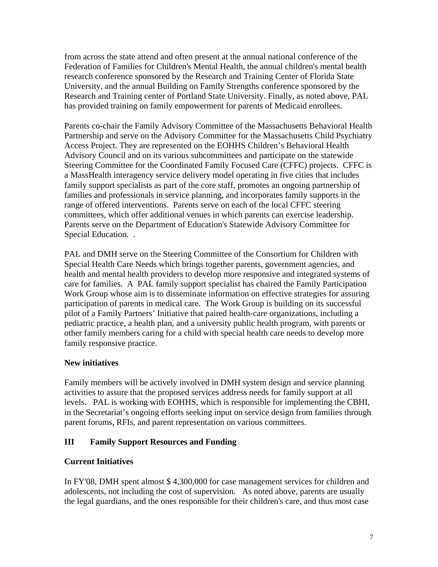from across the state attend and often present at the annual national conference of the Federation of Families for Children's Mental Health, the annual children's mental health research conference sponsored by the Research and Training Center of Florida State University, and the annual Building on Family Strengths conference sponsored by the Research and Training center of Portland State University. Finally, as noted above, PAL has provided training on family empowerment for parents of Medicaid enrollees.

Parents co-chair the Family Advisory Committee of the Massachusetts Behavioral Health Partnership and serve on the Advisory Committee for the Massachusetts Child Psychiatry Access Project. They are represented on the EOHHS Children's Behavioral Health Advisory Council and on its various subcommittees and participate on the statewide Steering Committee for the Coordinated Family Focused Care (CFFC) projects. CFFC is a MassHealth interagency service delivery model operating in five cities that includes family support specialists as part of the core staff, promotes an ongoing partnership of families and professionals in service planning, and incorporates family supports in the range of offered interventions. Parents serve on each of the local CFFC steering committees, which offer additional venues in which parents can exercise leadership. Parents serve on the Department of Education's Statewide Advisory Committee for Special Education. .

PAL and DMH serve on the Steering Committee of the Consortium for Children with Special Health Care Needs which brings together parents, government agencies, and health and mental health providers to develop more responsive and integrated systems of care for families. A PAL family support specialist has chaired the Family Participation Work Group whose aim is to disseminate information on effective strategies for assuring participation of parents in medical care. The Work Group is building on its successful pilot of a Family Partners' Initiative that paired health-care organizations, including a pediatric practice, a health plan, and a university public health program, with parents or other family members caring for a child with special health care needs to develop more family responsive practice.

## **New initiatives**

Family members will be actively involved in DMH system design and service planning activities to assure that the proposed services address needs for family support at all levels. PAL is working with EOHHS, which is responsible for implementing the CBHI, in the Secretariat's ongoing efforts seeking input on service design from families through parent forums, RFIs, and parent representation on various committees.

# **III Family Support Resources and Funding**

# **Current Initiatives**

In FY'08, DMH spent almost \$ 4,300,000 for case management services for children and adolescents, not including the cost of supervision. As noted above, parents are usually the legal guardians, and the ones responsible for their children's care, and thus most case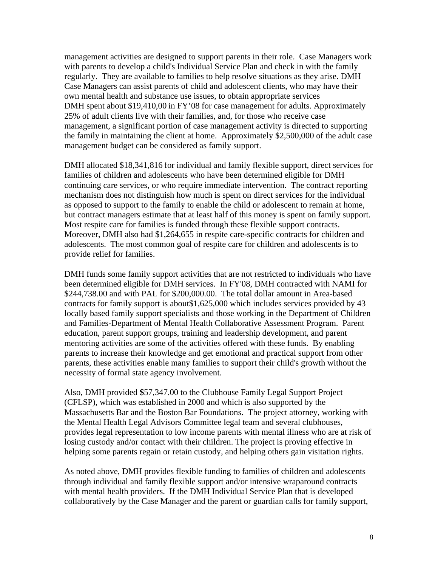management activities are designed to support parents in their role. Case Managers work with parents to develop a child's Individual Service Plan and check in with the family regularly. They are available to families to help resolve situations as they arise. DMH Case Managers can assist parents of child and adolescent clients, who may have their own mental health and substance use issues, to obtain appropriate services DMH spent about \$19,410,00 in FY'08 for case management for adults. Approximately 25% of adult clients live with their families, and, for those who receive case management, a significant portion of case management activity is directed to supporting the family in maintaining the client at home. Approximately \$2,500,000 of the adult case management budget can be considered as family support.

DMH allocated \$18,341,816 for individual and family flexible support, direct services for families of children and adolescents who have been determined eligible for DMH continuing care services, or who require immediate intervention. The contract reporting mechanism does not distinguish how much is spent on direct services for the individual as opposed to support to the family to enable the child or adolescent to remain at home, but contract managers estimate that at least half of this money is spent on family support. Most respite care for families is funded through these flexible support contracts. Moreover, DMH also had \$1,264,655 in respite care-specific contracts for children and adolescents. The most common goal of respite care for children and adolescents is to provide relief for families.

DMH funds some family support activities that are not restricted to individuals who have been determined eligible for DMH services. In FY'08, DMH contracted with NAMI for \$244,738.00 and with PAL for \$200,000.00. The total dollar amount in Area-based contracts for family support is about\$1,625,000 which includes services provided by 43 locally based family support specialists and those working in the Department of Children and Families-Department of Mental Health Collaborative Assessment Program. Parent education, parent support groups, training and leadership development, and parent mentoring activities are some of the activities offered with these funds. By enabling parents to increase their knowledge and get emotional and practical support from other parents, these activities enable many families to support their child's growth without the necessity of formal state agency involvement.

Also, DMH provided **\$**57,347.00 to the Clubhouse Family Legal Support Project (CFLSP), which was established in 2000 and which is also supported by the Massachusetts Bar and the Boston Bar Foundations. The project attorney, working with the Mental Health Legal Advisors Committee legal team and several clubhouses, provides legal representation to low income parents with mental illness who are at risk of losing custody and/or contact with their children. The project is proving effective in helping some parents regain or retain custody, and helping others gain visitation rights.

As noted above, DMH provides flexible funding to families of children and adolescents through individual and family flexible support and/or intensive wraparound contracts with mental health providers. If the DMH Individual Service Plan that is developed collaboratively by the Case Manager and the parent or guardian calls for family support,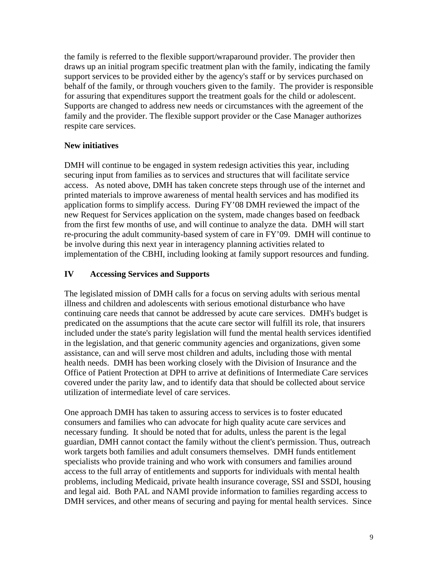the family is referred to the flexible support/wraparound provider. The provider then draws up an initial program specific treatment plan with the family, indicating the family support services to be provided either by the agency's staff or by services purchased on behalf of the family, or through vouchers given to the family. The provider is responsible for assuring that expenditures support the treatment goals for the child or adolescent. Supports are changed to address new needs or circumstances with the agreement of the family and the provider. The flexible support provider or the Case Manager authorizes respite care services.

## **New initiatives**

DMH will continue to be engaged in system redesign activities this year, including securing input from families as to services and structures that will facilitate service access. As noted above, DMH has taken concrete steps through use of the internet and printed materials to improve awareness of mental health services and has modified its application forms to simplify access. During FY'08 DMH reviewed the impact of the new Request for Services application on the system, made changes based on feedback from the first few months of use, and will continue to analyze the data. DMH will start re-procuring the adult community-based system of care in FY'09. DMH will continue to be involve during this next year in interagency planning activities related to implementation of the CBHI, including looking at family support resources and funding.

## **IV Accessing Services and Supports**

The legislated mission of DMH calls for a focus on serving adults with serious mental illness and children and adolescents with serious emotional disturbance who have continuing care needs that cannot be addressed by acute care services. DMH's budget is predicated on the assumptions that the acute care sector will fulfill its role, that insurers included under the state's parity legislation will fund the mental health services identified in the legislation, and that generic community agencies and organizations, given some assistance, can and will serve most children and adults, including those with mental health needs. DMH has been working closely with the Division of Insurance and the Office of Patient Protection at DPH to arrive at definitions of Intermediate Care services covered under the parity law, and to identify data that should be collected about service utilization of intermediate level of care services.

One approach DMH has taken to assuring access to services is to foster educated consumers and families who can advocate for high quality acute care services and necessary funding. It should be noted that for adults, unless the parent is the legal guardian, DMH cannot contact the family without the client's permission. Thus, outreach work targets both families and adult consumers themselves. DMH funds entitlement specialists who provide training and who work with consumers and families around access to the full array of entitlements and supports for individuals with mental health problems, including Medicaid, private health insurance coverage, SSI and SSDI, housing and legal aid. Both PAL and NAMI provide information to families regarding access to DMH services, and other means of securing and paying for mental health services. Since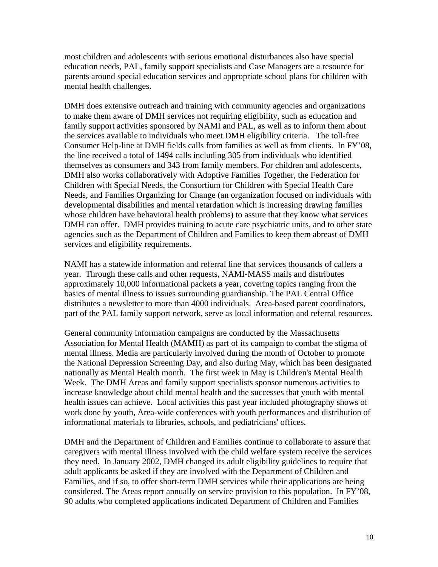most children and adolescents with serious emotional disturbances also have special education needs, PAL, family support specialists and Case Managers are a resource for parents around special education services and appropriate school plans for children with mental health challenges.

DMH does extensive outreach and training with community agencies and organizations to make them aware of DMH services not requiring eligibility, such as education and family support activities sponsored by NAMI and PAL, as well as to inform them about the services available to individuals who meet DMH eligibility criteria. The toll-free Consumer Help-line at DMH fields calls from families as well as from clients. In FY'08, the line received a total of 1494 calls including 305 from individuals who identified themselves as consumers and 343 from family members. For children and adolescents, DMH also works collaboratively with Adoptive Families Together, the Federation for Children with Special Needs, the Consortium for Children with Special Health Care Needs, and Families Organizing for Change (an organization focused on individuals with developmental disabilities and mental retardation which is increasing drawing families whose children have behavioral health problems) to assure that they know what services DMH can offer. DMH provides training to acute care psychiatric units, and to other state agencies such as the Department of Children and Families to keep them abreast of DMH services and eligibility requirements.

NAMI has a statewide information and referral line that services thousands of callers a year. Through these calls and other requests, NAMI-MASS mails and distributes approximately 10,000 informational packets a year, covering topics ranging from the basics of mental illness to issues surrounding guardianship. The PAL Central Office distributes a newsletter to more than 4000 individuals. Area-based parent coordinators, part of the PAL family support network, serve as local information and referral resources.

General community information campaigns are conducted by the Massachusetts Association for Mental Health (MAMH) as part of its campaign to combat the stigma of mental illness. Media are particularly involved during the month of October to promote the National Depression Screening Day, and also during May, which has been designated nationally as Mental Health month. The first week in May is Children's Mental Health Week. The DMH Areas and family support specialists sponsor numerous activities to increase knowledge about child mental health and the successes that youth with mental health issues can achieve. Local activities this past year included photography shows of work done by youth, Area-wide conferences with youth performances and distribution of informational materials to libraries, schools, and pediatricians' offices.

DMH and the Department of Children and Families continue to collaborate to assure that caregivers with mental illness involved with the child welfare system receive the services they need. In January 2002, DMH changed its adult eligibility guidelines to require that adult applicants be asked if they are involved with the Department of Children and Families, and if so, to offer short-term DMH services while their applications are being considered. The Areas report annually on service provision to this population. In FY'08, 90 adults who completed applications indicated Department of Children and Families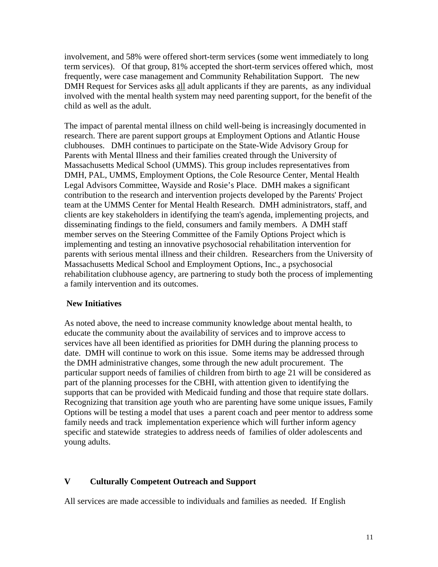involvement, and 58% were offered short-term services (some went immediately to long term services). Of that group, 81% accepted the short-term services offered which, most frequently, were case management and Community Rehabilitation Support. The new DMH Request for Services asks all adult applicants if they are parents, as any individual involved with the mental health system may need parenting support, for the benefit of the child as well as the adult.

The impact of parental mental illness on child well-being is increasingly documented in research. There are parent support groups at Employment Options and Atlantic House clubhouses. DMH continues to participate on the State-Wide Advisory Group for Parents with Mental Illness and their families created through the University of Massachusetts Medical School (UMMS). This group includes representatives from DMH, PAL, UMMS, Employment Options, the Cole Resource Center, Mental Health Legal Advisors Committee, Wayside and Rosie's Place. DMH makes a significant contribution to the research and intervention projects developed by the Parents' Project team at the UMMS Center for Mental Health Research. DMH administrators, staff, and clients are key stakeholders in identifying the team's agenda, implementing projects, and disseminating findings to the field, consumers and family members. A DMH staff member serves on the Steering Committee of the Family Options Project which is implementing and testing an innovative psychosocial rehabilitation intervention for parents with serious mental illness and their children. Researchers from the University of Massachusetts Medical School and Employment Options, Inc., a psychosocial rehabilitation clubhouse agency, are partnering to study both the process of implementing a family intervention and its outcomes.

#### **New Initiatives**

As noted above, the need to increase community knowledge about mental health, to educate the community about the availability of services and to improve access to services have all been identified as priorities for DMH during the planning process to date. DMH will continue to work on this issue. Some items may be addressed through the DMH administrative changes, some through the new adult procurement. The particular support needs of families of children from birth to age 21 will be considered as part of the planning processes for the CBHI, with attention given to identifying the supports that can be provided with Medicaid funding and those that require state dollars. Recognizing that transition age youth who are parenting have some unique issues, Family Options will be testing a model that uses a parent coach and peer mentor to address some family needs and track implementation experience which will further inform agency specific and statewide strategies to address needs of families of older adolescents and young adults.

## **V Culturally Competent Outreach and Support**

All services are made accessible to individuals and families as needed. If English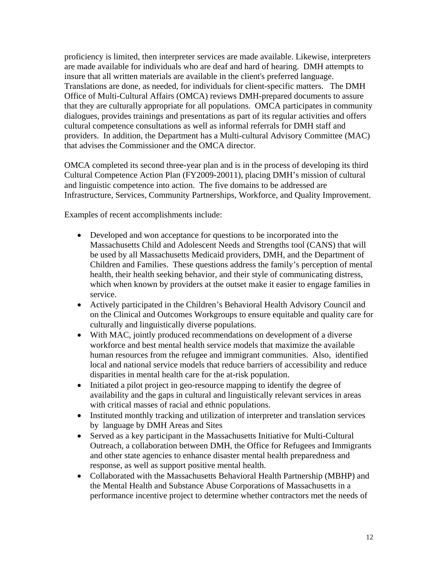proficiency is limited, then interpreter services are made available. Likewise, interpreters are made available for individuals who are deaf and hard of hearing. DMH attempts to insure that all written materials are available in the client's preferred language. Translations are done, as needed, for individuals for client-specific matters. The DMH Office of Multi-Cultural Affairs (OMCA) reviews DMH-prepared documents to assure that they are culturally appropriate for all populations. OMCA participates in community dialogues, provides trainings and presentations as part of its regular activities and offers cultural competence consultations as well as informal referrals for DMH staff and providers. In addition, the Department has a Multi-cultural Advisory Committee (MAC) that advises the Commissioner and the OMCA director.

OMCA completed its second three-year plan and is in the process of developing its third Cultural Competence Action Plan (FY2009-20011), placing DMH's mission of cultural and linguistic competence into action. The five domains to be addressed are Infrastructure, Services, Community Partnerships, Workforce, and Quality Improvement.

Examples of recent accomplishments include:

- Developed and won acceptance for questions to be incorporated into the Massachusetts Child and Adolescent Needs and Strengths tool (CANS) that will be used by all Massachusetts Medicaid providers, DMH, and the Department of Children and Families. These questions address the family's perception of mental health, their health seeking behavior, and their style of communicating distress, which when known by providers at the outset make it easier to engage families in service.
- Actively participated in the Children's Behavioral Health Advisory Council and on the Clinical and Outcomes Workgroups to ensure equitable and quality care for culturally and linguistically diverse populations.
- With MAC, jointly produced recommendations on development of a diverse workforce and best mental health service models that maximize the available human resources from the refugee and immigrant communities. Also, identified local and national service models that reduce barriers of accessibility and reduce disparities in mental health care for the at-risk population.
- Initiated a pilot project in geo-resource mapping to identify the degree of availability and the gaps in cultural and linguistically relevant services in areas with critical masses of racial and ethnic populations.
- Instituted monthly tracking and utilization of interpreter and translation services by language by DMH Areas and Sites
- Served as a key participant in the Massachusetts Initiative for Multi-Cultural Outreach, a collaboration between DMH, the Office for Refugees and Immigrants and other state agencies to enhance disaster mental health preparedness and response, as well as support positive mental health.
- Collaborated with the Massachusetts Behavioral Health Partnership (MBHP) and the Mental Health and Substance Abuse Corporations of Massachusetts in a performance incentive project to determine whether contractors met the needs of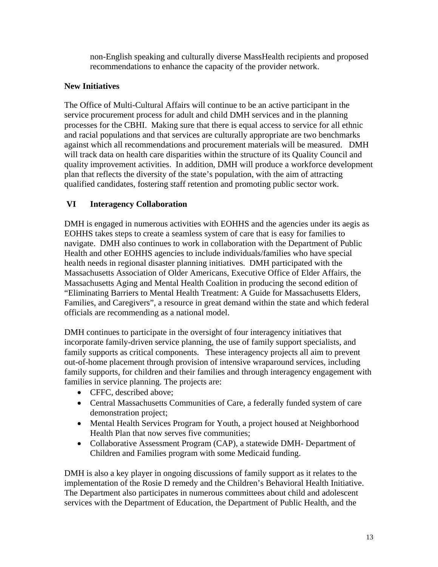non-English speaking and culturally diverse MassHealth recipients and proposed recommendations to enhance the capacity of the provider network.

## **New Initiatives**

The Office of Multi-Cultural Affairs will continue to be an active participant in the service procurement process for adult and child DMH services and in the planning processes for the CBHI. Making sure that there is equal access to service for all ethnic and racial populations and that services are culturally appropriate are two benchmarks against which all recommendations and procurement materials will be measured. DMH will track data on health care disparities within the structure of its Quality Council and quality improvement activities. In addition, DMH will produce a workforce development plan that reflects the diversity of the state's population, with the aim of attracting qualified candidates, fostering staff retention and promoting public sector work.

## **VI Interagency Collaboration**

DMH is engaged in numerous activities with EOHHS and the agencies under its aegis as EOHHS takes steps to create a seamless system of care that is easy for families to navigate. DMH also continues to work in collaboration with the Department of Public Health and other EOHHS agencies to include individuals/families who have special health needs in regional disaster planning initiatives. DMH participated with the Massachusetts Association of Older Americans, Executive Office of Elder Affairs, the Massachusetts Aging and Mental Health Coalition in producing the second edition of "Eliminating Barriers to Mental Health Treatment: A Guide for Massachusetts Elders, Families, and Caregivers", a resource in great demand within the state and which federal officials are recommending as a national model.

DMH continues to participate in the oversight of four interagency initiatives that incorporate family-driven service planning, the use of family support specialists, and family supports as critical components. These interagency projects all aim to prevent out-of-home placement through provision of intensive wraparound services, including family supports, for children and their families and through interagency engagement with families in service planning. The projects are:

- CFFC, described above;
- Central Massachusetts Communities of Care, a federally funded system of care demonstration project;
- Mental Health Services Program for Youth, a project housed at Neighborhood Health Plan that now serves five communities;
- Collaborative Assessment Program (CAP), a statewide DMH- Department of Children and Families program with some Medicaid funding.

DMH is also a key player in ongoing discussions of family support as it relates to the implementation of the Rosie D remedy and the Children's Behavioral Health Initiative. The Department also participates in numerous committees about child and adolescent services with the Department of Education, the Department of Public Health, and the